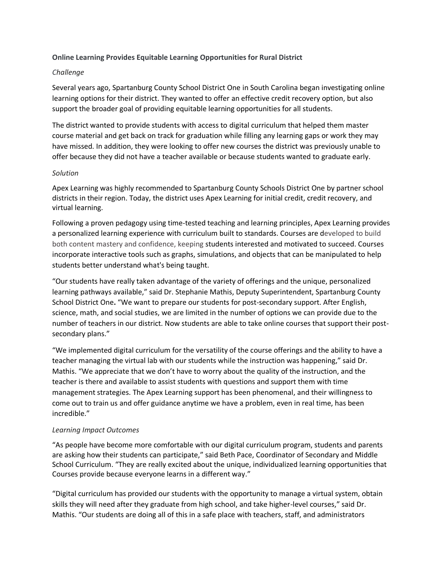# **Online Learning Provides Equitable Learning Opportunities for Rural District**

### *Challenge*

Several years ago, Spartanburg County School District One in South Carolina began investigating online learning options for their district. They wanted to offer an effective credit recovery option, but also support the broader goal of providing equitable learning opportunities for all students.

The district wanted to provide students with access to digital curriculum that helped them master course material and get back on track for graduation while filling any learning gaps or work they may have missed. In addition, they were looking to offer new courses the district was previously unable to offer because they did not have a teacher available or because students wanted to graduate early.

## *Solution*

Apex Learning was highly recommended to Spartanburg County Schools District One by partner school districts in their region. Today, the district uses Apex Learning for initial credit, credit recovery, and virtual learning.

Following a proven pedagogy using time-tested teaching and learning principles, Apex Learning provides a personalized learning experience with curriculum built to standards. Courses are developed to build both content mastery and confidence, keeping students interested and motivated to succeed. Courses incorporate interactive tools such as graphs, simulations, and objects that can be manipulated to help students better understand what's being taught.

"Our students have really taken advantage of the variety of offerings and the unique, personalized learning pathways available," said Dr. Stephanie Mathis, Deputy Superintendent, Spartanburg County School District One**.** "We want to prepare our students for post-secondary support. After English, science, math, and social studies, we are limited in the number of options we can provide due to the number of teachers in our district. Now students are able to take online courses that support their postsecondary plans."

"We implemented digital curriculum for the versatility of the course offerings and the ability to have a teacher managing the virtual lab with our students while the instruction was happening," said Dr. Mathis. "We appreciate that we don't have to worry about the quality of the instruction, and the teacher is there and available to assist students with questions and support them with time management strategies. The Apex Learning support has been phenomenal, and their willingness to come out to train us and offer guidance anytime we have a problem, even in real time, has been incredible."

# *Learning Impact Outcomes*

"As people have become more comfortable with our digital curriculum program, students and parents are asking how their students can participate," said Beth Pace, Coordinator of Secondary and Middle School Curriculum. "They are really excited about the unique, individualized learning opportunities that Courses provide because everyone learns in a different way."

"Digital curriculum has provided our students with the opportunity to manage a virtual system, obtain skills they will need after they graduate from high school, and take higher-level courses," said Dr. Mathis. "Our students are doing all of this in a safe place with teachers, staff, and administrators